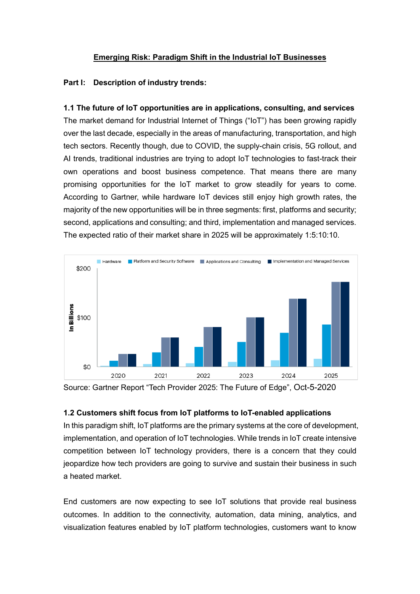## **Emerging Risk: Paradigm Shift in the Industrial IoT Businesses**

### **Part I: Description of industry trends:**

**1.1 The future of IoT opportunities are in applications, consulting, and services** The market demand for Industrial Internet of Things ("IoT") has been growing rapidly over the last decade, especially in the areas of manufacturing, transportation, and high tech sectors. Recently though, due to COVID, the supply-chain crisis, 5G rollout, and AI trends, traditional industries are trying to adopt IoT technologies to fast-track their own operations and boost business competence. That means there are many promising opportunities for the IoT market to grow steadily for years to come. According to Gartner, while hardware IoT devices still enjoy high growth rates, the majority of the new opportunities will be in three segments: first, platforms and security; second, applications and consulting; and third, implementation and managed services. The expected ratio of their market share in 2025 will be approximately 1:5:10:10.



Source: Gartner Report "Tech Provider 2025: The Future of Edge", Oct-5-2020

## **1.2 Customers shift focus from IoT platforms to IoT-enabled applications**

In this paradigm shift, IoT platforms are the primary systems at the core of development, implementation, and operation of IoT technologies. While trends in IoT create intensive competition between IoT technology providers, there is a concern that they could jeopardize how tech providers are going to survive and sustain their business in such a heated market.

End customers are now expecting to see IoT solutions that provide real business outcomes. In addition to the connectivity, automation, data mining, analytics, and visualization features enabled by IoT platform technologies, customers want to know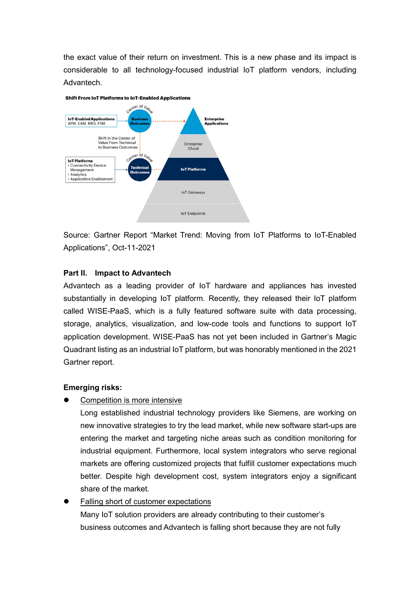the exact value of their return on investment. This is a new phase and its impact is considerable to all technology-focused industrial IoT platform vendors, including Advantech.



Source: Gartner Report "Market Trend: Moving from IoT Platforms to IoT-Enabled Applications", Oct-11-2021

# **Part II. Impact to Advantech**

Advantech as a leading provider of IoT hardware and appliances has invested substantially in developing IoT platform. Recently, they released their IoT platform called WISE-PaaS, which is a fully featured software suite with data processing, storage, analytics, visualization, and low-code tools and functions to support IoT application development. WISE-PaaS has not yet been included in Gartner's Magic Quadrant listing as an industrial IoT platform, but was honorably mentioned in the 2021 Gartner report.

# **Emerging risks:**

Competition is more intensive

Long established industrial technology providers like Siemens, are working on new innovative strategies to try the lead market, while new software start-ups are entering the market and targeting niche areas such as condition monitoring for industrial equipment. Furthermore, local system integrators who serve regional markets are offering customized projects that fulfill customer expectations much better. Despite high development cost, system integrators enjoy a significant share of the market.

 Falling short of customer expectations Many IoT solution providers are already contributing to their customer's business outcomes and Advantech is falling short because they are not fully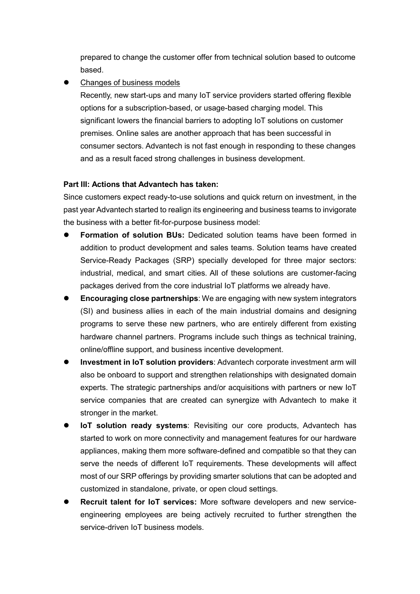prepared to change the customer offer from technical solution based to outcome based.

Changes of business models

Recently, new start-ups and many IoT service providers started offering flexible options for a subscription-based, or usage-based charging model. This significant lowers the financial barriers to adopting IoT solutions on customer premises. Online sales are another approach that has been successful in consumer sectors. Advantech is not fast enough in responding to these changes and as a result faced strong challenges in business development.

## **Part III: Actions that Advantech has taken:**

Since customers expect ready-to-use solutions and quick return on investment, in the past year Advantech started to realign its engineering and business teams to invigorate the business with a better fit-for-purpose business model:

- **Formation of solution BUs:** Dedicated solution teams have been formed in addition to product development and sales teams. Solution teams have created Service-Ready Packages (SRP) specially developed for three major sectors: industrial, medical, and smart cities. All of these solutions are customer-facing packages derived from the core industrial IoT platforms we already have.
- **Encouraging close partnerships**: We are engaging with new system integrators (SI) and business allies in each of the main industrial domains and designing programs to serve these new partners, who are entirely different from existing hardware channel partners. Programs include such things as technical training, online/offline support, and business incentive development.
- **Investment in IoT solution providers**: Advantech corporate investment arm will also be onboard to support and strengthen relationships with designated domain experts. The strategic partnerships and/or acquisitions with partners or new IoT service companies that are created can synergize with Advantech to make it stronger in the market.
- **IoT solution ready systems**: Revisiting our core products, Advantech has started to work on more connectivity and management features for our hardware appliances, making them more software-defined and compatible so that they can serve the needs of different IoT requirements. These developments will affect most of our SRP offerings by providing smarter solutions that can be adopted and customized in standalone, private, or open cloud settings.
- **Recruit talent for IoT services:** More software developers and new serviceengineering employees are being actively recruited to further strengthen the service-driven IoT business models.